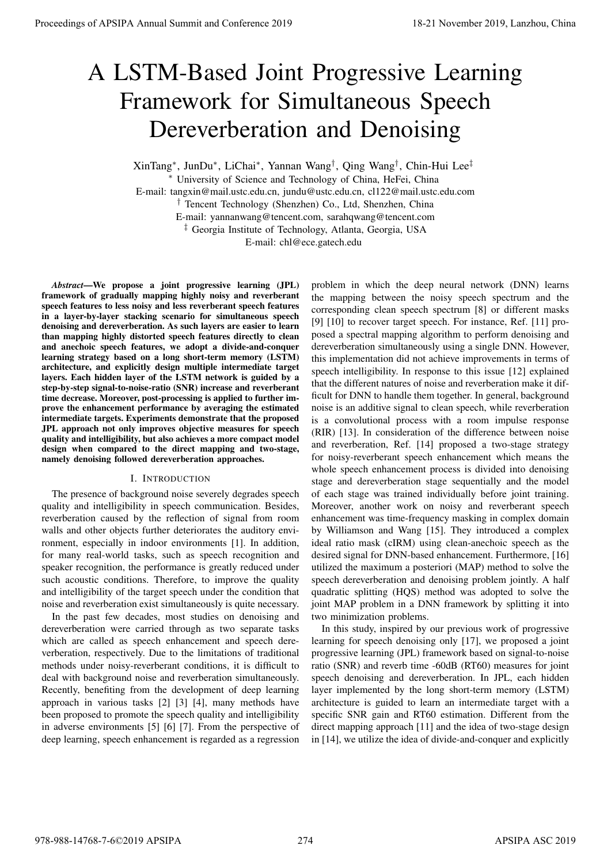# A LSTM-Based Joint Progressive Learning Framework for Simultaneous Speech Dereverberation and Denoising

XinTang<sup>∗</sup> , JunDu<sup>∗</sup> , LiChai<sup>∗</sup> , Yannan Wang† , Qing Wang† , Chin-Hui Lee‡

<sup>∗</sup> University of Science and Technology of China, HeFei, China E-mail: tangxin@mail.ustc.edu.cn, jundu@ustc.edu.cn, cl122@mail.ustc.edu.com † Tencent Technology (Shenzhen) Co., Ltd, Shenzhen, China E-mail: yannanwang@tencent.com, sarahqwang@tencent.com ‡ Georgia Institute of Technology, Atlanta, Georgia, USA E-mail: chl@ece.gatech.edu

*Abstract*—We propose a joint progressive learning (JPL) framework of gradually mapping highly noisy and reverberant speech features to less noisy and less reverberant speech features in a layer-by-layer stacking scenario for simultaneous speech denoising and dereverberation. As such layers are easier to learn than mapping highly distorted speech features directly to clean and anechoic speech features, we adopt a divide-and-conquer learning strategy based on a long short-term memory (LSTM) architecture, and explicitly design multiple intermediate target layers. Each hidden layer of the LSTM network is guided by a step-by-step signal-to-noise-ratio (SNR) increase and reverberant time decrease. Moreover, post-processing is applied to further improve the enhancement performance by averaging the estimated intermediate targets. Experiments demonstrate that the proposed JPL approach not only improves objective measures for speech quality and intelligibility, but also achieves a more compact model design when compared to the direct mapping and two-stage, namely denoising followed dereverberation approaches.

### I. INTRODUCTION

The presence of background noise severely degrades speech quality and intelligibility in speech communication. Besides, reverberation caused by the reflection of signal from room walls and other objects further deteriorates the auditory environment, especially in indoor environments [1]. In addition, for many real-world tasks, such as speech recognition and speaker recognition, the performance is greatly reduced under such acoustic conditions. Therefore, to improve the quality and intelligibility of the target speech under the condition that noise and reverberation exist simultaneously is quite necessary.

In the past few decades, most studies on denoising and dereverberation were carried through as two separate tasks which are called as speech enhancement and speech dereverberation, respectively. Due to the limitations of traditional methods under noisy-reverberant conditions, it is difficult to deal with background noise and reverberation simultaneously. Recently, benefiting from the development of deep learning approach in various tasks [2] [3] [4], many methods have been proposed to promote the speech quality and intelligibility in adverse environments [5] [6] [7]. From the perspective of deep learning, speech enhancement is regarded as a regression

problem in which the deep neural network (DNN) learns the mapping between the noisy speech spectrum and the corresponding clean speech spectrum [8] or different masks [9] [10] to recover target speech. For instance, Ref. [11] proposed a spectral mapping algorithm to perform denoising and dereverberation simultaneously using a single DNN. However, this implementation did not achieve improvements in terms of speech intelligibility. In response to this issue [12] explained that the different natures of noise and reverberation make it difficult for DNN to handle them together. In general, background noise is an additive signal to clean speech, while reverberation is a convolutional process with a room impulse response (RIR) [13]. In consideration of the difference between noise and reverberation, Ref. [14] proposed a two-stage strategy for noisy-reverberant speech enhancement which means the whole speech enhancement process is divided into denoising stage and dereverberation stage sequentially and the model of each stage was trained individually before joint training. Moreover, another work on noisy and reverberant speech enhancement was time-frequency masking in complex domain by Williamson and Wang [15]. They introduced a complex ideal ratio mask (cIRM) using clean-anechoic speech as the desired signal for DNN-based enhancement. Furthermore, [16] utilized the maximum a posteriori (MAP) method to solve the speech dereverberation and denoising problem jointly. A half quadratic splitting (HQS) method was adopted to solve the joint MAP problem in a DNN framework by splitting it into two minimization problems. **Proceedings of APSIPA Annual Summit and Conference 2019**<br> **ALESTIM-Bassed Joint Progressive Learning**<br> **Practice Conference 2019**<br> **DECOVERIES ON THE EXERCISE SECTION AND CONFERENCE 2019**<br> **PROCESS ON THE EXERCISE SECTIO** 

In this study, inspired by our previous work of progressive learning for speech denoising only [17], we proposed a joint progressive learning (JPL) framework based on signal-to-noise ratio (SNR) and reverb time -60dB (RT60) measures for joint speech denoising and dereverberation. In JPL, each hidden layer implemented by the long short-term memory (LSTM) architecture is guided to learn an intermediate target with a specific SNR gain and RT60 estimation. Different from the direct mapping approach [11] and the idea of two-stage design in [14], we utilize the idea of divide-and-conquer and explicitly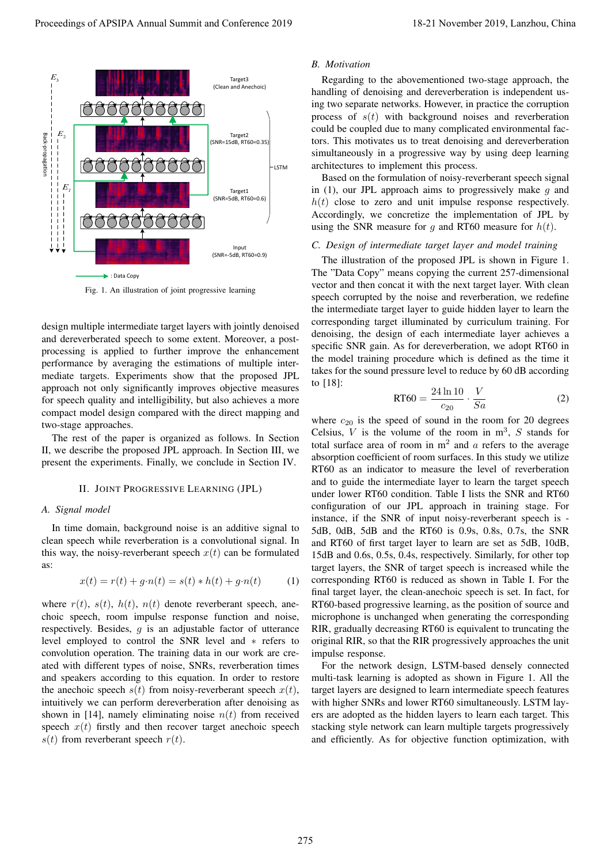

Fig. 1. An illustration of joint progressive learning

design multiple intermediate target layers with jointly denoised and dereverberated speech to some extent. Moreover, a postprocessing is applied to further improve the enhancement performance by averaging the estimations of multiple intermediate targets. Experiments show that the proposed JPL approach not only significantly improves objective measures for speech quality and intelligibility, but also achieves a more compact model design compared with the direct mapping and two-stage approaches.

The rest of the paper is organized as follows. In Section II, we describe the proposed JPL approach. In Section III, we present the experiments. Finally, we conclude in Section IV.

#### II. JOINT PROGRESSIVE LEARNING (JPL)

#### *A. Signal model*

In time domain, background noise is an additive signal to clean speech while reverberation is a convolutional signal. In this way, the noisy-reverberant speech  $x(t)$  can be formulated as:

$$
x(t) = r(t) + g \cdot n(t) = s(t) * h(t) + g \cdot n(t)
$$
 (1)

where  $r(t)$ ,  $s(t)$ ,  $h(t)$ ,  $n(t)$  denote reverberant speech, anechoic speech, room impulse response function and noise, respectively. Besides,  $g$  is an adjustable factor of utterance level employed to control the SNR level and ∗ refers to convolution operation. The training data in our work are created with different types of noise, SNRs, reverberation times and speakers according to this equation. In order to restore the anechoic speech  $s(t)$  from noisy-reverberant speech  $x(t)$ , intuitively we can perform dereverberation after denoising as shown in [14], namely eliminating noise  $n(t)$  from received speech  $x(t)$  firstly and then recover target anechoic speech  $s(t)$  from reverberant speech  $r(t)$ .

## *B. Motivation*

Regarding to the abovementioned two-stage approach, the handling of denoising and dereverberation is independent using two separate networks. However, in practice the corruption process of  $s(t)$  with background noises and reverberation could be coupled due to many complicated environmental factors. This motivates us to treat denoising and dereverberation simultaneously in a progressive way by using deep learning architectures to implement this process.

Based on the formulation of noisy-reverberant speech signal in (1), our JPL approach aims to progressively make  $q$  and  $h(t)$  close to zero and unit impulse response respectively. Accordingly, we concretize the implementation of JPL by using the SNR measure for q and RT60 measure for  $h(t)$ .

#### *C. Design of intermediate target layer and model training*

The illustration of the proposed JPL is shown in Figure 1. The "Data Copy" means copying the current 257-dimensional vector and then concat it with the next target layer. With clean speech corrupted by the noise and reverberation, we redefine the intermediate target layer to guide hidden layer to learn the corresponding target illuminated by curriculum training. For denoising, the design of each intermediate layer achieves a specific SNR gain. As for dereverberation, we adopt RT60 in the model training procedure which is defined as the time it takes for the sound pressure level to reduce by 60 dB according to [18]:

$$
RT60 = \frac{24 \ln 10}{c_{20}} \cdot \frac{V}{Sa}
$$
 (2)

where  $c_{20}$  is the speed of sound in the room for 20 degrees Celsius,  $V$  is the volume of the room in  $m<sup>3</sup>$ ,  $S$  stands for total surface area of room in  $m<sup>2</sup>$  and a refers to the average absorption coefficient of room surfaces. In this study we utilize RT60 as an indicator to measure the level of reverberation and to guide the intermediate layer to learn the target speech under lower RT60 condition. Table I lists the SNR and RT60 configuration of our JPL approach in training stage. For instance, if the SNR of input noisy-reverberant speech is - 5dB, 0dB, 5dB and the RT60 is 0.9s, 0.8s, 0.7s, the SNR and RT60 of first target layer to learn are set as 5dB, 10dB, 15dB and 0.6s, 0.5s, 0.4s, respectively. Similarly, for other top target layers, the SNR of target speech is increased while the corresponding RT60 is reduced as shown in Table I. For the final target layer, the clean-anechoic speech is set. In fact, for RT60-based progressive learning, as the position of source and microphone is unchanged when generating the corresponding RIR, gradually decreasing RT60 is equivalent to truncating the original RIR, so that the RIR progressively approaches the unit impulse response. Proceedings of APSIPA Annual Summit and Conference 2019<br> **Proceedings of APSIPA Annual Summit and Conference 2019**<br> **Proceedings of APSIPA Annual Summit and Conference 2019**<br> **PROCESS OF APSIPA Annual Summit and Conferenc** 

For the network design, LSTM-based densely connected multi-task learning is adopted as shown in Figure 1. All the target layers are designed to learn intermediate speech features with higher SNRs and lower RT60 simultaneously. LSTM layers are adopted as the hidden layers to learn each target. This stacking style network can learn multiple targets progressively and efficiently. As for objective function optimization, with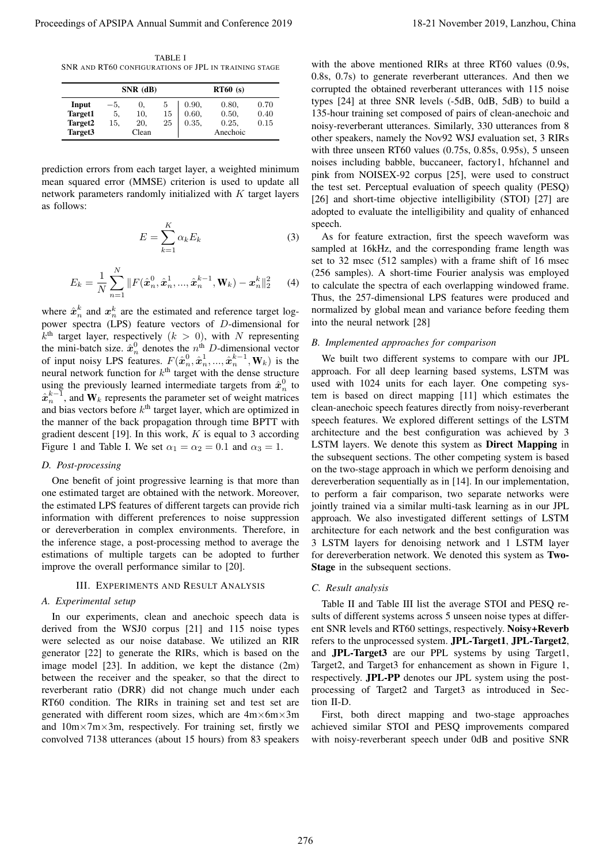TABLE I SNR AND RT60 CONFIGURATIONS OF JPL IN TRAINING STAGE

|                             |                   | $SNR$ (dB)       |               | $RT60$ (s)              |                         |                      |  |  |  |  |
|-----------------------------|-------------------|------------------|---------------|-------------------------|-------------------------|----------------------|--|--|--|--|
| Input<br>Target1<br>Target2 | $-5$<br>5,<br>15. | 0,<br>10,<br>20. | 5<br>15<br>25 | 0.90,<br>0.60,<br>0.35. | 0.80,<br>0.50,<br>0.25. | 0.70<br>0.40<br>0.15 |  |  |  |  |
| Target3                     |                   | Clean            |               |                         | Anechoic                |                      |  |  |  |  |

prediction errors from each target layer, a weighted minimum mean squared error (MMSE) criterion is used to update all network parameters randomly initialized with  $K$  target layers as follows:

$$
E = \sum_{k=1}^{K} \alpha_k E_k \tag{3}
$$

$$
E_k = \frac{1}{N} \sum_{n=1}^{N} ||F(\hat{\boldsymbol{x}}_n^0, \hat{\boldsymbol{x}}_n^1, ..., \hat{\boldsymbol{x}}_n^{k-1}, \mathbf{W}_k) - \boldsymbol{x}_n^k||_2^2 \qquad (4)
$$

where  $\hat{x}_n^k$  and  $x_n^k$  are the estimated and reference target logpower spectra (LPS) feature vectors of D-dimensional for  $k<sup>th</sup>$  target layer, respectively  $(k > 0)$ , with N representing the mini-batch size.  $\hat{\boldsymbol{x}}_n^0$  denotes the  $n^{\text{th}}$  D-dimensional vector of input noisy LPS features.  $F(\hat{\boldsymbol{x}}_n^0, \hat{\boldsymbol{x}}_n^1, ..., \hat{\boldsymbol{x}}_n^{k-1}, \mathbf{W}_k)$  is the neural network function for  $k<sup>th</sup>$  target with the dense structure using the previously learned intermediate targets from  $\hat{x}_n^0$  to  $\hat{\boldsymbol{x}}_n^{k-1}$ , and  $\mathbf{W}_k$  represents the parameter set of weight matrices and bias vectors before  $k<sup>th</sup>$  target layer, which are optimized in the manner of the back propagation through time BPTT with gradient descent [19]. In this work,  $K$  is equal to 3 according Figure 1 and Table I. We set  $\alpha_1 = \alpha_2 = 0.1$  and  $\alpha_3 = 1$ .

#### *D. Post-processing*

One benefit of joint progressive learning is that more than one estimated target are obtained with the network. Moreover, the estimated LPS features of different targets can provide rich information with different preferences to noise suppression or dereverberation in complex environments. Therefore, in the inference stage, a post-processing method to average the estimations of multiple targets can be adopted to further improve the overall performance similar to [20].

#### III. EXPERIMENTS AND RESULT ANALYSIS

## *A. Experimental setup*

In our experiments, clean and anechoic speech data is derived from the WSJ0 corpus [21] and 115 noise types were selected as our noise database. We utilized an RIR generator [22] to generate the RIRs, which is based on the image model [23]. In addition, we kept the distance (2m) between the receiver and the speaker, so that the direct to reverberant ratio (DRR) did not change much under each RT60 condition. The RIRs in training set and test set are generated with different room sizes, which are  $4m \times 6m \times 3m$ and  $10m \times 7m \times 3m$ , respectively. For training set, firstly we convolved 7138 utterances (about 15 hours) from 83 speakers

with the above mentioned RIRs at three RT60 values (0.9s, 0.8s, 0.7s) to generate reverberant utterances. And then we corrupted the obtained reverberant utterances with 115 noise types [24] at three SNR levels (-5dB, 0dB, 5dB) to build a 135-hour training set composed of pairs of clean-anechoic and noisy-reverberant utterances. Similarly, 330 utterances from 8 other speakers, namely the Nov92 WSJ evaluation set, 3 RIRs with three unseen RT60 values (0.75s, 0.85s, 0.95s), 5 unseen noises including babble, buccaneer, factory1, hfchannel and pink from NOISEX-92 corpus [25], were used to construct the test set. Perceptual evaluation of speech quality (PESQ) [26] and short-time objective intelligibility (STOI) [27] are adopted to evaluate the intelligibility and quality of enhanced speech.

As for feature extraction, first the speech waveform was sampled at 16kHz, and the corresponding frame length was set to 32 msec (512 samples) with a frame shift of 16 msec (256 samples). A short-time Fourier analysis was employed to calculate the spectra of each overlapping windowed frame. Thus, the 257-dimensional LPS features were produced and normalized by global mean and variance before feeding them into the neural network [28]

## *B. Implemented approaches for comparison*

We built two different systems to compare with our JPL approach. For all deep learning based systems, LSTM was used with 1024 units for each layer. One competing system is based on direct mapping [11] which estimates the clean-anechoic speech features directly from noisy-reverberant speech features. We explored different settings of the LSTM architecture and the best configuration was achieved by 3 LSTM layers. We denote this system as Direct Mapping in the subsequent sections. The other competing system is based on the two-stage approach in which we perform denoising and dereverberation sequentially as in [14]. In our implementation, to perform a fair comparison, two separate networks were jointly trained via a similar multi-task learning as in our JPL approach. We also investigated different settings of LSTM architecture for each network and the best configuration was 3 LSTM layers for denoising network and 1 LSTM layer for dereverberation network. We denoted this system as Two-Stage in the subsequent sections. Proceedings of APSIPA Annual Summit and Conference 2019<br>
NAME (Proceedings of APSIPA Annual Summit and Conference 2019). The distribution of EU of APSIPA Annual Summit and Conference 2019, Lanzhou, China 276, Lanzhou, Chi

#### *C. Result analysis*

Table II and Table III list the average STOI and PESQ results of different systems across 5 unseen noise types at different SNR levels and RT60 settings, respectively. Noisy+Reverb refers to the unprocessed system. JPL-Target1, JPL-Target2, and JPL-Target3 are our PPL systems by using Target1, Target2, and Target3 for enhancement as shown in Figure 1, respectively. JPL-PP denotes our JPL system using the postprocessing of Target2 and Target3 as introduced in Section II-D.

First, both direct mapping and two-stage approaches achieved similar STOI and PESQ improvements compared with noisy-reverberant speech under 0dB and positive SNR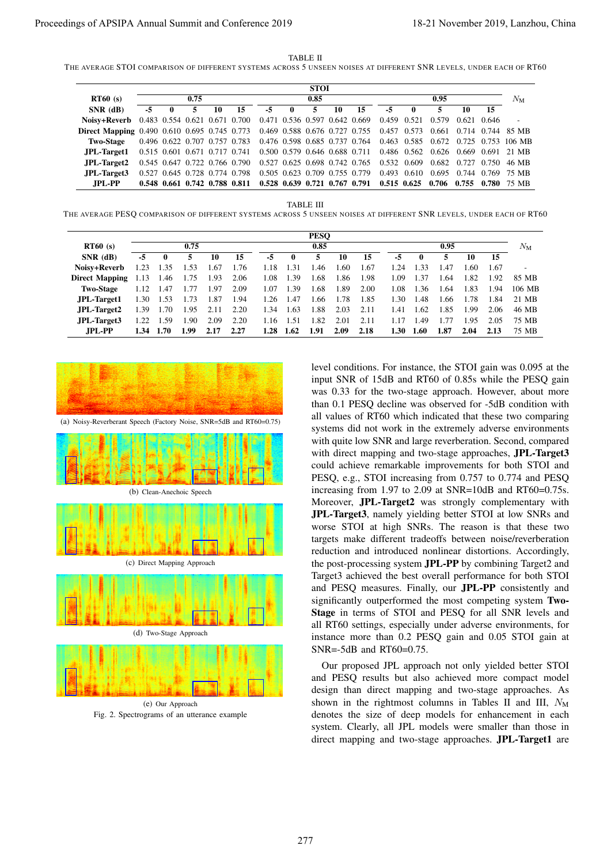TABLE II

THE AVERAGE STOI COMPARISON OF DIFFERENT SYSTEMS ACROSS 5 UNSEEN NOISES AT DIFFERENT SNR LEVELS, UNDER EACH OF RT60

|                                                                                                                | <b>STOI</b> |        |  |           |                                                           |  |  |      |  |  |  |             |             |    |    |                                                                                                 |
|----------------------------------------------------------------------------------------------------------------|-------------|--------|--|-----------|-----------------------------------------------------------|--|--|------|--|--|--|-------------|-------------|----|----|-------------------------------------------------------------------------------------------------|
| $RT60$ (s)                                                                                                     | 0.75        |        |  |           |                                                           |  |  | 0.85 |  |  |  | $N_{\rm M}$ |             |    |    |                                                                                                 |
| $SNR$ (dB)                                                                                                     |             | $-5$ 0 |  | $5 \t 10$ | $15 \t\t -5 \t\t 0 \t\t 5 \t\t 10 \t\t 15 \t\t -5 \t\t 0$ |  |  |      |  |  |  |             | $5^{\circ}$ | 10 | 15 |                                                                                                 |
| Noisy+Reverb 0.483 0.554 0.621 0.671 0.700 0.471 0.536 0.597 0.642 0.669 0.459 0.521 0.579 0.621 0.646 -       |             |        |  |           |                                                           |  |  |      |  |  |  |             |             |    |    |                                                                                                 |
| Direct Mapping 0.490 0.610 0.695 0.745 0.773 0.469 0.588 0.676 0.727 0.755 0.457 0.573 0.661 0.714 0.744 85 MB |             |        |  |           |                                                           |  |  |      |  |  |  |             |             |    |    |                                                                                                 |
| Two-Stage 0.496 0.622 0.707 0.757 0.783 0.476 0.598 0.685 0.737 0.764 0.463 0.585 0.672 0.725 0.753 106 MB     |             |        |  |           |                                                           |  |  |      |  |  |  |             |             |    |    |                                                                                                 |
| <b>JPL-Target1</b>                                                                                             |             |        |  |           |                                                           |  |  |      |  |  |  |             |             |    |    | 0.515 0.601 0.671 0.717 0.741 0.500 0.579 0.646 0.688 0.711 0.486 0.562 0.626 0.669 0.691 21 MB |
| JPL-Target2                                                                                                    |             |        |  |           |                                                           |  |  |      |  |  |  |             |             |    |    | 0.545 0.647 0.722 0.766 0.790 0.527 0.625 0.698 0.742 0.765 0.532 0.609 0.682 0.727 0.750 46 MB |
| JPL-Target3                                                                                                    |             |        |  |           |                                                           |  |  |      |  |  |  |             |             |    |    | 0.527 0.645 0.728 0.774 0.798 0.505 0.623 0.709 0.755 0.779 0.493 0.610 0.695 0.744 0.769 75 MB |
| JPL-PP                                                                                                         |             |        |  |           |                                                           |  |  |      |  |  |  |             |             |    |    | 0.548 0.661 0.742 0.788 0.811 0.528 0.639 0.721 0.767 0.791 0.515 0.625 0.706 0.755 0.780 75 MB |

TABLE III THE AVERAGE PESQ COMPARISON OF DIFFERENT SYSTEMS ACROSS 5 UNSEEN NOISES AT DIFFERENT SNR LEVELS, UNDER EACH OF RT60

| <b>PESO</b>      |      |           |      |      |      |      |          |      |      |      |                  |              |      |      |      |        |
|------------------|------|-----------|------|------|------|------|----------|------|------|------|------------------|--------------|------|------|------|--------|
| $RT60$ (s)       | 0.75 |           |      |      | 0.85 |      |          |      |      |      | $N_{\mathsf{M}}$ |              |      |      |      |        |
| $SNR$ (dB)       | -5   | 0         | 5.   | 10   | 15   | -5   | $\bf{0}$ | 5.   | 10   | 15   | $-5$             | $\mathbf{0}$ | 5.   | 10   | 15   |        |
| Noisy+Reverb     | 1.23 | 1.35      | 1.53 | 1.67 | 1.76 | 1.18 | 1.31     | 1.46 | 1.60 | 1.67 | 1.24             | 1.33         | 1.47 | 1.60 | 1.67 |        |
| Direct Mapping   |      | 1.13 1.46 | 1.75 | 1.93 | 2.06 | 1.08 | 1.39     | 1.68 | 1.86 | 1.98 | 1.09             | 1.37         | 1.64 | 1.82 | 1.92 | 85 MB  |
| <b>Two-Stage</b> |      | 1.12 1.47 | 1.77 | 1.97 | 2.09 | 1.07 | 1.39     | 1.68 | 1.89 | 2.00 | 1.08             | 1.36         | 1.64 | 1.83 | 1.94 | 106 MB |
| JPL-Target1      | 1.30 | 1.53      | 1.73 | 1.87 | 1.94 | 1.26 | - 1.47   | 1.66 | 1.78 | 1.85 | 1.30             | 1.48         | 1.66 | 1.78 | 1.84 | 21 MB  |
| JPL-Target2      | 1.39 | 1.70      | 1.95 | 2.11 | 2.20 | 1.34 | 1.63     | 1.88 | 2.03 | 2.11 | 1.41             | 1.62         | 1.85 | 1.99 | 2.06 | 46 MB  |
| JPL-Target3      | 1.22 | 1.59      | 1.90 | 2.09 | 2.20 | 1.16 | -1.51    | 1.82 | 2.01 | 2.11 | 1.17             | 1.49         | 1.77 | 1.95 | 2.05 | 75 MB  |
| <b>JPL-PP</b>    | 1.34 | 1.70      | 1.99 | 2.17 | 2.27 | 1.28 | 1.62     | 1.91 | 2.09 | 2.18 | 1.30             | 1.60         | 1.87 | 2.04 | 2.13 | 75 MB  |



Fig. 2. Spectrograms of an utterance example

level conditions. For instance, the STOI gain was 0.095 at the input SNR of 15dB and RT60 of 0.85s while the PESQ gain was 0.33 for the two-stage approach. However, about more than 0.1 PESQ decline was observed for -5dB condition with all values of RT60 which indicated that these two comparing systems did not work in the extremely adverse environments with quite low SNR and large reverberation. Second, compared with direct mapping and two-stage approaches, JPL-Target3 could achieve remarkable improvements for both STOI and PESQ, e.g., STOI increasing from 0.757 to 0.774 and PESQ increasing from 1.97 to 2.09 at SNR=10dB and RT60=0.75s. Moreover, JPL-Target2 was strongly complementary with JPL-Target3, namely yielding better STOI at low SNRs and worse STOI at high SNRs. The reason is that these two targets make different tradeoffs between noise/reverberation reduction and introduced nonlinear distortions. Accordingly, the post-processing system JPL-PP by combining Target2 and Target3 achieved the best overall performance for both STOI and PESQ measures. Finally, our JPL-PP consistently and significantly outperformed the most competing system Two-Stage in terms of STOI and PESQ for all SNR levels and all RT60 settings, especially under adverse environments, for instance more than 0.2 PESQ gain and 0.05 STOI gain at SNR=-5dB and RT60=0.75.

Our proposed JPL approach not only yielded better STOI and PESQ results but also achieved more compact model design than direct mapping and two-stage approaches. As shown in the rightmost columns in Tables II and III,  $N_M$ denotes the size of deep models for enhancement in each system. Clearly, all JPL models were smaller than those in direct mapping and two-stage approaches. JPL-Target1 are